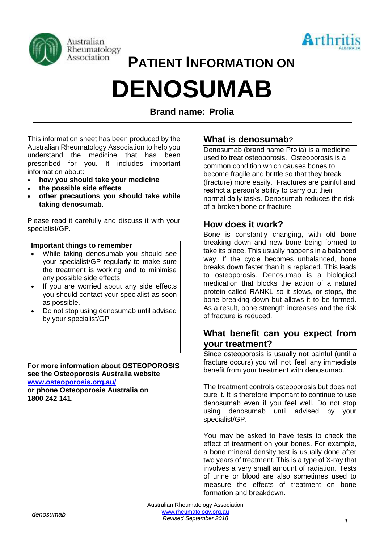



# **PATIENT INFORMATION ON DENOSUMAB**

**Brand name: Prolia**

This information sheet has been produced by the Australian Rheumatology Association to help you understand the medicine that has been prescribed for you. It includes important information about:

- **how you should take your medicine**
- **the possible side effects**
- **other precautions you should take while taking denosumab.**

Please read it carefully and discuss it with your specialist/GP.

#### **Important things to remember**

- While taking denosumab you should see your specialist/GP regularly to make sure the treatment is working and to minimise any possible side effects.
- If you are worried about any side effects you should contact your specialist as soon as possible.
- Do not stop using denosumab until advised by your specialist/GP

**For more information about OSTEOPOROSIS see the Osteoporosis Australia website [www.osteoporosis.org.au/](http://www.osteoporosis.org.au/)**

**or phone Osteoporosis Australia on 1800 242 141**.

## **What is denosumab?**

Denosumab (brand name Prolia) is a medicine used to treat osteoporosis. Osteoporosis is a common condition which causes bones to become fragile and brittle so that they break (fracture) more easily. Fractures are painful and restrict a person's ability to carry out their normal daily tasks. Denosumab reduces the risk of a broken bone or fracture.

## **How does it work?**

Bone is constantly changing, with old bone breaking down and new bone being formed to take its place. This usually happens in a balanced way. If the cycle becomes unbalanced, bone breaks down faster than it is replaced. This leads to osteoporosis. Denosumab is a biological medication that blocks the action of a natural protein called RANKL so it slows, or stops, the bone breaking down but allows it to be formed. As a result, bone strength increases and the risk of fracture is reduced.

## **What benefit can you expect from your treatment?**

Since osteoporosis is usually not painful (until a fracture occurs) you will not 'feel' any immediate benefit from your treatment with denosumab.

The treatment controls osteoporosis but does not cure it. It is therefore important to continue to use denosumab even if you feel well. Do not stop using denosumab until advised by your specialist/GP.

You may be asked to have tests to check the effect of treatment on your bones. For example, a bone mineral density test is usually done after two years of treatment. This is a type of X-ray that involves a very small amount of radiation. Tests of urine or blood are also sometimes used to measure the effects of treatment on bone formation and breakdown.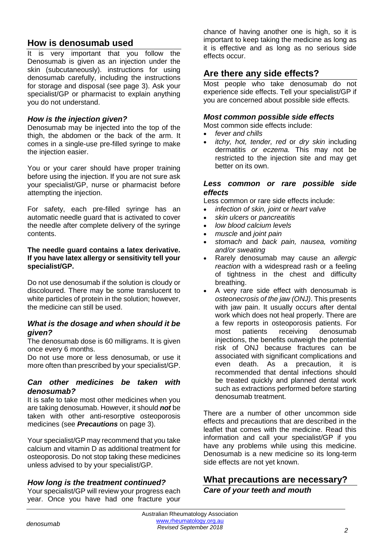## **How is denosumab used**

It is very important that you follow the Denosumab is given as an injection under the skin (subcutaneously). instructions for using denosumab carefully, including the instructions for storage and disposal (see page 3). Ask your specialist/GP or pharmacist to explain anything you do not understand.

#### *How is the injection given?*

Denosumab may be injected into the top of the thigh, the abdomen or the back of the arm. It comes in a single-use pre-filled syringe to make the injection easier.

You or your carer should have proper training before using the injection. If you are not sure ask your specialist/GP, nurse or pharmacist before attempting the injection.

For safety, each pre-filled syringe has an automatic needle guard that is activated to cover the needle after complete delivery of the syringe contents.

#### **The needle guard contains a latex derivative. If you have latex allergy or sensitivity tell your specialist/GP.**

Do not use denosumab if the solution is cloudy or discoloured. There may be some translucent to white particles of protein in the solution; however, the medicine can still be used.

#### *What is the dosage and when should it be given?*

The denosumab dose is 60 milligrams. It is given once every 6 months.

Do not use more or less denosumab, or use it more often than prescribed by your specialist/GP.

#### *Can other medicines be taken with denosumab?*

It is safe to take most other medicines when you are taking denosumab. However, it should *not* be taken with other anti-resorptive osteoporosis medicines (see *Precautions* on page 3).

Your specialist/GP may recommend that you take calcium and vitamin D as additional treatment for osteoporosis. Do not stop taking these medicines unless advised to by your specialist/GP.

## *How long is the treatment continued?*

Your specialist/GP will review your progress each year. Once you have had one fracture your chance of having another one is high, so it is important to keep taking the medicine as long as it is effective and as long as no serious side effects occur.

# **Are there any side effects?**

Most people who take denosumab do not experience side effects. Tell your specialist/GP if you are concerned about possible side effects.

#### *Most common possible side effects*

Most common side effects include:

- *fever and chills*
- *itchy, hot, tender, red* or *dry skin* including dermatitis *or eczema.* This may not be restricted to the injection site and may get better on its own.

#### *Less common or rare possible side effects*

Less common or rare side effects include:

- *infection of skin, joint* or *heart valve*
- *skin ulcers* or *pancreatitis*
- *low blood calcium levels*
- *muscle* and *joint pain*
- *stomach* and *back pain, nausea, vomiting and/or sweating*
- Rarely denosumab may cause an *allergic reaction* with a widespread rash or a feeling of tightness in the chest and difficulty breathing.
- A very rare side effect with denosumab is *osteonecrosis of the jaw (ONJ)*. This presents with jaw pain. It usually occurs after dental work which does not heal properly. There are a few reports in osteoporosis patients. For most patients receiving denosumab injections, the benefits outweigh the potential risk of ONJ because fractures can be associated with significant complications and even death. As a precaution, it is recommended that dental infections should be treated quickly and planned dental work such as extractions performed before starting denosumab treatment.

There are a number of other uncommon side effects and precautions that are described in the leaflet that comes with the medicine. Read this information and call your specialist/GP if you have any problems while using this medicine. Denosumab is a new medicine so its long-term side effects are not yet known.

## **What precautions are necessary?** *Care of your teeth and mouth*